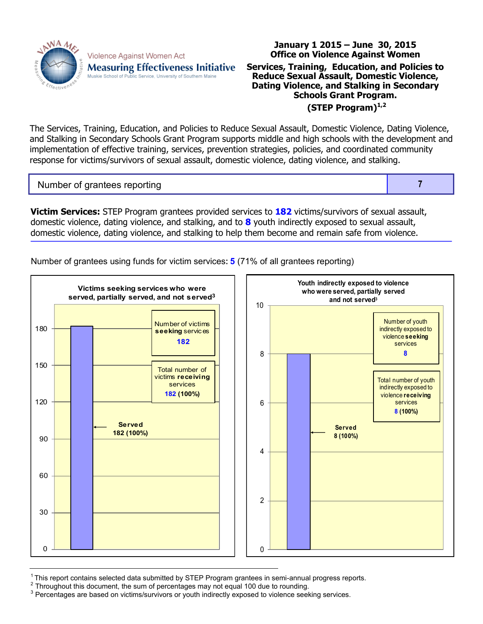

Violence Against Women Act **Measuring Effectiveness Initiative** Muskie School of Public Service, University of Southern Maine

## **Office on Violence Against Women Services, Training, Education, and Policies to Reduce Sexual Assault, Domestic Violence, Dating Violence, and Stalking in Secondary Schools Grant Program. (STEP Program)1,2**

**January 1 2015 – June 30, 2015**

The Services, Training, Education, and Policies to Reduce Sexual Assault, Domestic Violence, Dating Violence, and Stalking in Secondary Schools Grant Program supports middle and high schools with the development and implementation of effective training, services, prevention strategies, policies, and coordinated community response for victims/survivors of sexual assault, domestic violence, dating violence, and stalking.

Number of grantees reporting **7** and 1 and 1 and 1 and 1 and 1 and 1 and 1 and 1 and 1 and 1 and 1 and 1 and 1 and 1 and 1 and 1 and 1 and 1 and 1 and 1 and 1 and 1 and 1 and 1 and 1 and 1 and 1 and 1 and 1 and 1 and 1 and

**Victim Services:** STEP Program grantees provided services to **182** victims/survivors of sexual assault, domestic violence, dating violence, and stalking, and to **8** youth indirectly exposed to sexual assault, domestic violence, dating violence, and stalking to help them become and remain safe from violence.

Number of grantees using funds for victim services**: 5** (71% of all grantees reporting)



 $1$ This report contains selected data submitted by STEP Program grantees in semi-annual progress reports.

 $2$  Throughout this document, the sum of percentages may not equal 100 due to rounding.

<sup>3</sup> Percentages are based on victims/survivors or youth indirectly exposed to violence seeking services.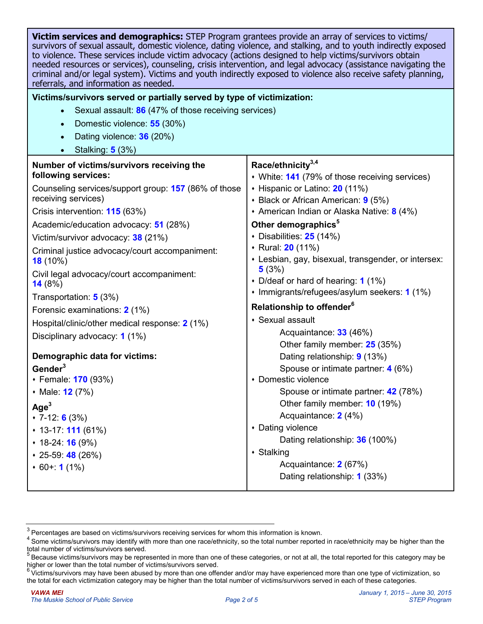| Victim services and demographics: STEP Program grantees provide an array of services to victims/<br>survivors of sexual assault, domestic violence, dating violence, and stalking, and to youth indirectly exposed<br>to violence. These services include victim advocacy (actions designed to help victims/survivors obtain<br>needed resources or services), counseling, crisis intervention, and legal advocacy (assistance navigating the<br>criminal and/or legal system). Victims and youth indirectly exposed to violence also receive safety planning,<br>referrals, and information as needed. |  |  |  |  |  |  |
|---------------------------------------------------------------------------------------------------------------------------------------------------------------------------------------------------------------------------------------------------------------------------------------------------------------------------------------------------------------------------------------------------------------------------------------------------------------------------------------------------------------------------------------------------------------------------------------------------------|--|--|--|--|--|--|
| Victims/survivors served or partially served by type of victimization:                                                                                                                                                                                                                                                                                                                                                                                                                                                                                                                                  |  |  |  |  |  |  |
| Sexual assault: 86 (47% of those receiving services)<br>$\bullet$                                                                                                                                                                                                                                                                                                                                                                                                                                                                                                                                       |  |  |  |  |  |  |
|                                                                                                                                                                                                                                                                                                                                                                                                                                                                                                                                                                                                         |  |  |  |  |  |  |
|                                                                                                                                                                                                                                                                                                                                                                                                                                                                                                                                                                                                         |  |  |  |  |  |  |
|                                                                                                                                                                                                                                                                                                                                                                                                                                                                                                                                                                                                         |  |  |  |  |  |  |
| Race/ethnicity <sup>3,4</sup><br>• White: 141 (79% of those receiving services)<br>+ Hispanic or Latino: 20 (11%)<br>• Black or African American: 9 (5%)<br>+ American Indian or Alaska Native: 8 (4%)<br>Other demographics <sup>5</sup><br>$\cdot$ Disabilities: 25 (14%)<br>◆ Rural: 20 (11%)<br>• Lesbian, gay, bisexual, transgender, or intersex:<br>5(3%)                                                                                                                                                                                                                                        |  |  |  |  |  |  |
| • D/deaf or hard of hearing: 1 (1%)<br>• Immigrants/refugees/asylum seekers: 1 (1%)                                                                                                                                                                                                                                                                                                                                                                                                                                                                                                                     |  |  |  |  |  |  |
| Relationship to offender <sup>6</sup>                                                                                                                                                                                                                                                                                                                                                                                                                                                                                                                                                                   |  |  |  |  |  |  |
| • Sexual assault                                                                                                                                                                                                                                                                                                                                                                                                                                                                                                                                                                                        |  |  |  |  |  |  |
| Acquaintance: 33 (46%)                                                                                                                                                                                                                                                                                                                                                                                                                                                                                                                                                                                  |  |  |  |  |  |  |
| Other family member: 25 (35%)<br>Dating relationship: 9 (13%)<br>Spouse or intimate partner: 4 (6%)<br>• Domestic violence<br>Spouse or intimate partner: 42 (78%)<br>Other family member: 10 (19%)<br>Acquaintance: 2 (4%)<br>• Dating violence<br>Dating relationship: 36 (100%)<br>• Stalking<br>Acquaintance: 2 (67%)<br>Dating relationship: 1 (33%)                                                                                                                                                                                                                                               |  |  |  |  |  |  |
|                                                                                                                                                                                                                                                                                                                                                                                                                                                                                                                                                                                                         |  |  |  |  |  |  |

 $3$  Percentages are based on victims/survivors receiving services for whom this information is known.

<sup>&</sup>lt;sup>4</sup> Some victims/survivors may identify with more than one race/ethnicity, so the total number reported in race/ethnicity may be higher than the total number of victims/survivors served.

<sup>5</sup> Because victims/survivors may be represented in more than one of these categories, or not at all, the total reported for this category may be higher or lower than the total number of victims/survivors served.

 $6$  Victims/survivors may have been abused by more than one offender and/or may have experienced more than one type of victimization, so the total for each victimization category may be higher than the total number of victims/survivors served in each of these categories.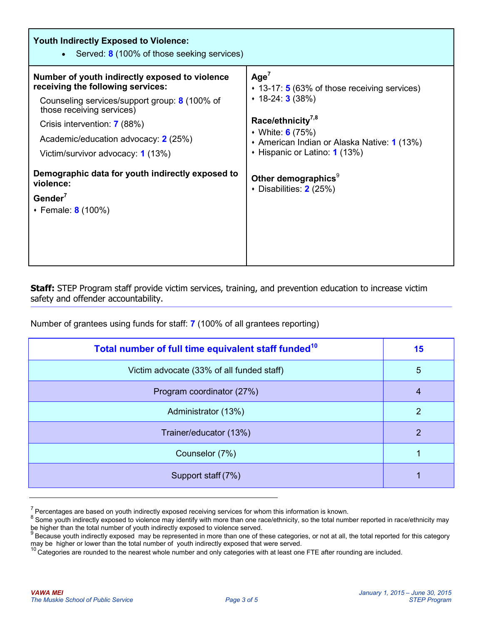| <b>Youth Indirectly Exposed to Violence:</b><br>• Served: $8(100\% \text{ of those seeking services})$                                                                                                                                                                                |                                                                                                                                                                                                                                              |  |  |  |  |  |  |
|---------------------------------------------------------------------------------------------------------------------------------------------------------------------------------------------------------------------------------------------------------------------------------------|----------------------------------------------------------------------------------------------------------------------------------------------------------------------------------------------------------------------------------------------|--|--|--|--|--|--|
| Number of youth indirectly exposed to violence<br>receiving the following services:<br>Counseling services/support group: 8 (100% of<br>those receiving services)<br>Crisis intervention: <b>7</b> (88%)<br>Academic/education advocacy: 2 (25%)<br>Victim/survivor advocacy: 1 (13%) | Age <sup>7</sup><br>$\cdot$ 13-17: 5 (63% of those receiving services)<br>$\cdot$ 18-24: <b>3</b> (38%)<br>Race/ethnicity <sup>7,8</sup><br>• White: 6 (75%)<br>• American Indian or Alaska Native: 1 (13%)<br>• Hispanic or Latino: 1 (13%) |  |  |  |  |  |  |
| Demographic data for youth indirectly exposed to<br>violence:<br>Gender $7$<br>• Female: 8 (100%)                                                                                                                                                                                     | Other demographics <sup>9</sup><br>• Disabilities: $2(25%)$                                                                                                                                                                                  |  |  |  |  |  |  |

**Staff:** STEP Program staff provide victim services, training, and prevention education to increase victim safety and offender accountability.

Number of grantees using funds for staff: **7** (100% of all grantees reporting)

| Total number of full time equivalent staff funded <sup>10</sup> | 15 |
|-----------------------------------------------------------------|----|
| Victim advocate (33% of all funded staff)                       | 5  |
| Program coordinator (27%)                                       | 4  |
| Administrator (13%)                                             | 2  |
| Trainer/educator (13%)                                          | 2  |
| Counselor (7%)                                                  |    |
| Support staff (7%)                                              |    |

 $\frac{7}{2}$  Percentages are based on youth indirectly exposed receiving services for whom this information is known.

<sup>&</sup>lt;sup>8</sup> Some youth indirectly exposed to violence may identify with more than one race/ethnicity, so the total number reported in race/ethnicity may be higher than the total number of youth indirectly exposed to violence served.<br><sup>9</sup> Because youth indirectly exposed may be represented in more than one of these categories, or not at all, the total reported for this cate

may be higher or lower than the total number of youth indirectly exposed that were served.

<sup>&</sup>lt;sup>10</sup> Categories are rounded to the nearest whole number and only categories with at least one FTE after rounding are included.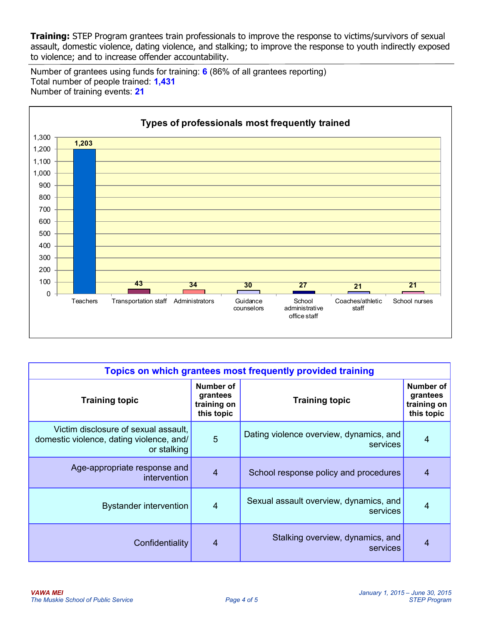**Training:** STEP Program grantees train professionals to improve the response to victims/survivors of sexual assault, domestic violence, dating violence, and stalking; to improve the response to youth indirectly exposed to violence; and to increase offender accountability.

Number of grantees using funds for training: **6** (86% of all grantees reporting) Total number of people trained: **1,431** Number of training events: **21**



| Topics on which grantees most frequently provided training                                      |                                                    |                                                     |                                                    |  |  |  |
|-------------------------------------------------------------------------------------------------|----------------------------------------------------|-----------------------------------------------------|----------------------------------------------------|--|--|--|
| <b>Training topic</b>                                                                           | Number of<br>grantees<br>training on<br>this topic | <b>Training topic</b>                               | Number of<br>grantees<br>training on<br>this topic |  |  |  |
| Victim disclosure of sexual assault,<br>domestic violence, dating violence, and/<br>or stalking | 5                                                  | Dating violence overview, dynamics, and<br>services | 4                                                  |  |  |  |
| Age-appropriate response and<br><i>intervention</i>                                             | $\overline{4}$                                     | School response policy and procedures               | 4                                                  |  |  |  |
| <b>Bystander intervention</b>                                                                   | $\overline{4}$                                     | Sexual assault overview, dynamics, and<br>services  | 4                                                  |  |  |  |
| Confidentiality                                                                                 | $\overline{4}$                                     | Stalking overview, dynamics, and<br>services        | 4                                                  |  |  |  |